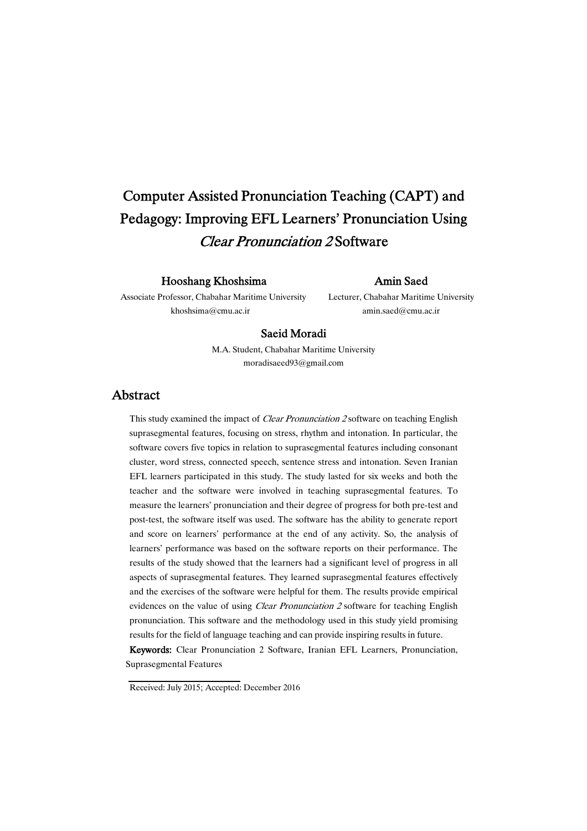# Computer Assisted Pronunciation Teaching (CAPT) and Pedagogy: Improving EFL Learners' Pronunciation Using Clear Pronunciation 2 Software

## Hooshang Khoshsima

## Amin Saed

Associate Professor, Chabahar Maritime University khoshsima@cmu.ac.ir

Lecturer, Chabahar Maritime University amin.saed@cmu.ac.ir

## Saeid Moradi

M.A. Student, Chabahar Maritime University moradisaeed93@gmail.com

## Abstract

This study examined the impact of *Clear Pronunciation 2* software on teaching English suprasegmental features, focusing on stress, rhythm and intonation. In particular, the software covers five topics in relation to suprasegmental features including consonant cluster, word stress, connected speech, sentence stress and intonation. Seven Iranian EFL learners participated in this study. The study lasted for six weeks and both the teacher and the software were involved in teaching suprasegmental features. To measure the learners' pronunciation and their degree of progress for both pre-test and post-test, the software itself was used. The software has the ability to generate report and score on learners' performance at the end of any activity. So, the analysis of learners' performance was based on the software reports on their performance. The results of the study showed that the learners had a significant level of progress in all aspects of suprasegmental features. They learned suprasegmental features effectively and the exercises of the software were helpful for them. The results provide empirical evidences on the value of using *Clear Pronunciation 2* software for teaching English pronunciation. This software and the methodology used in this study yield promising results for the field of language teaching and can provide inspiring results in future.

Keywords: Clear Pronunciation 2 Software, Iranian EFL Learners, Pronunciation, Suprasegmental Features

Received: July 2015; Accepted: December 2016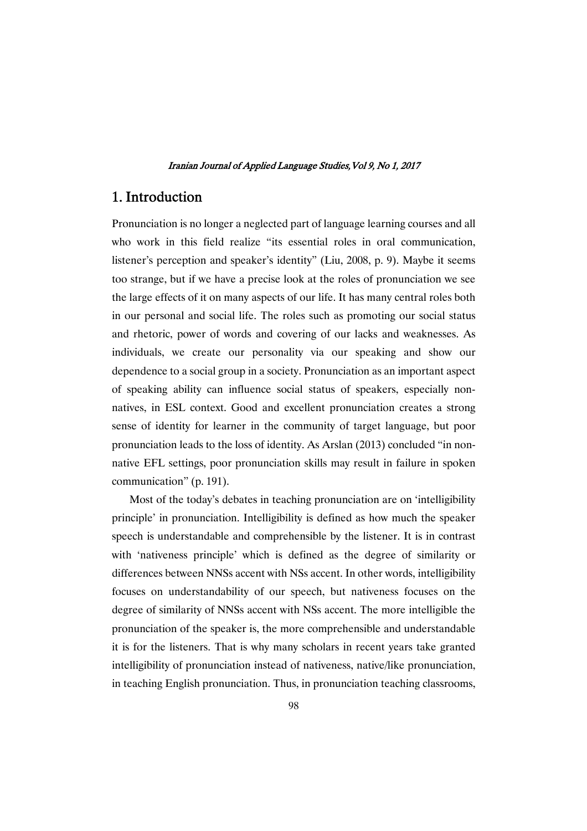## 1. Introduction

Pronunciation is no longer a neglected part of language learning courses and all who work in this field realize "its essential roles in oral communication, listener's perception and speaker's identity" (Liu, 2008, p. 9). Maybe it seems too strange, but if we have a precise look at the roles of pronunciation we see the large effects of it on many aspects of our life. It has many central roles both in our personal and social life. The roles such as promoting our social status and rhetoric, power of words and covering of our lacks and weaknesses. As individuals, we create our personality via our speaking and show our dependence to a social group in a society. Pronunciation as an important aspect of speaking ability can influence social status of speakers, especially nonnatives, in ESL context. Good and excellent pronunciation creates a strong sense of identity for learner in the community of target language, but poor pronunciation leads to the loss of identity. As Arslan (2013) concluded "in nonnative EFL settings, poor pronunciation skills may result in failure in spoken communication" (p. 191).

Most of the today's debates in teaching pronunciation are on 'intelligibility principle' in pronunciation. Intelligibility is defined as how much the speaker speech is understandable and comprehensible by the listener. It is in contrast with 'nativeness principle' which is defined as the degree of similarity or differences between NNSs accent with NSs accent. In other words, intelligibility focuses on understandability of our speech, but nativeness focuses on the degree of similarity of NNSs accent with NSs accent. The more intelligible the pronunciation of the speaker is, the more comprehensible and understandable it is for the listeners. That is why many scholars in recent years take granted intelligibility of pronunciation instead of nativeness, native/like pronunciation, in teaching English pronunciation. Thus, in pronunciation teaching classrooms,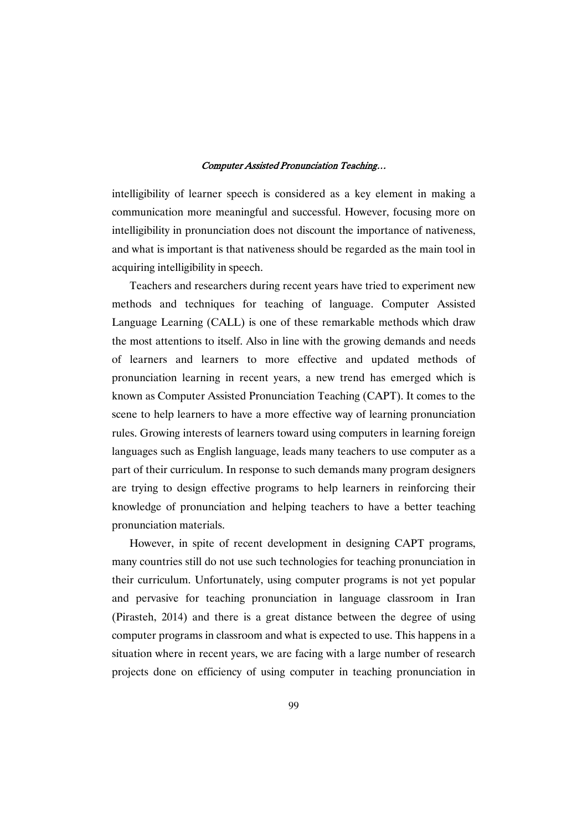intelligibility of learner speech is considered as a key element in making a communication more meaningful and successful. However, focusing more on intelligibility in pronunciation does not discount the importance of nativeness, and what is important is that nativeness should be regarded as the main tool in acquiring intelligibility in speech.

Teachers and researchers during recent years have tried to experiment new methods and techniques for teaching of language. Computer Assisted Language Learning (CALL) is one of these remarkable methods which draw the most attentions to itself. Also in line with the growing demands and needs of learners and learners to more effective and updated methods of pronunciation learning in recent years, a new trend has emerged which is known as Computer Assisted Pronunciation Teaching (CAPT). It comes to the scene to help learners to have a more effective way of learning pronunciation rules. Growing interests of learners toward using computers in learning foreign languages such as English language, leads many teachers to use computer as a part of their curriculum. In response to such demands many program designers are trying to design effective programs to help learners in reinforcing their knowledge of pronunciation and helping teachers to have a better teaching pronunciation materials.

However, in spite of recent development in designing CAPT programs, many countries still do not use such technologies for teaching pronunciation in their curriculum. Unfortunately, using computer programs is not yet popular and pervasive for teaching pronunciation in language classroom in Iran (Pirasteh, 2014) and there is a great distance between the degree of using computer programs in classroom and what is expected to use. This happens in a situation where in recent years, we are facing with a large number of research projects done on efficiency of using computer in teaching pronunciation in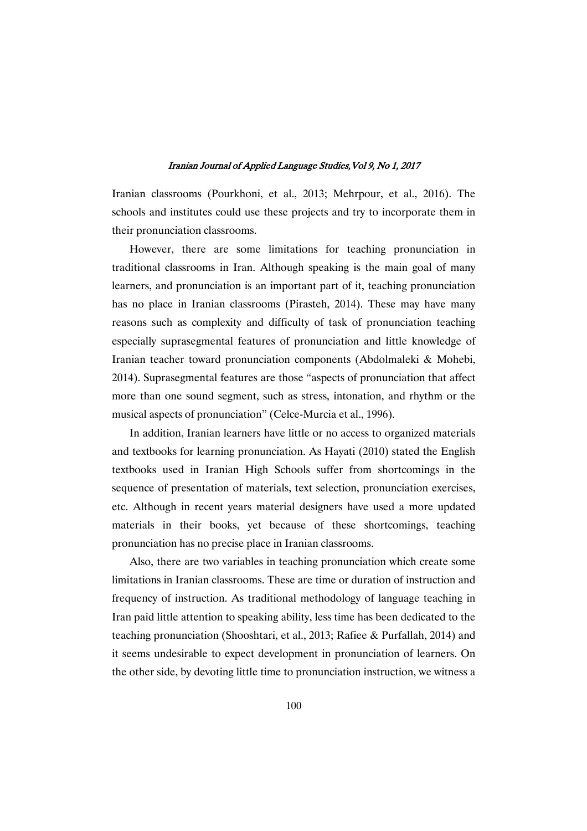Iranian classrooms (Pourkhoni, et al., 2013; Mehrpour, et al., 2016). The schools and institutes could use these projects and try to incorporate them in their pronunciation classrooms.

However, there are some limitations for teaching pronunciation in traditional classrooms in Iran. Although speaking is the main goal of many learners, and pronunciation is an important part of it, teaching pronunciation has no place in Iranian classrooms (Pirasteh, 2014). These may have many reasons such as complexity and difficulty of task of pronunciation teaching especially suprasegmental features of pronunciation and little knowledge of Iranian teacher toward pronunciation components (Abdolmaleki & Mohebi, 2014). Suprasegmental features are those "aspects of pronunciation that affect more than one sound segment, such as stress, intonation, and rhythm or the musical aspects of pronunciation" (Celce-Murcia et al., 1996).

In addition, Iranian learners have little or no access to organized materials and textbooks for learning pronunciation. As Hayati (2010) stated the English textbooks used in Iranian High Schools suffer from shortcomings in the sequence of presentation of materials, text selection, pronunciation exercises, etc. Although in recent years material designers have used a more updated materials in their books, yet because of these shortcomings, teaching pronunciation has no precise place in Iranian classrooms.

Also, there are two variables in teaching pronunciation which create some limitations in Iranian classrooms. These are time or duration of instruction and frequency of instruction. As traditional methodology of language teaching in Iran paid little attention to speaking ability, less time has been dedicated to the teaching pronunciation (Shooshtari, et al., 2013; Rafiee & Purfallah, 2014) and it seems undesirable to expect development in pronunciation of learners. On the other side, by devoting little time to pronunciation instruction, we witness a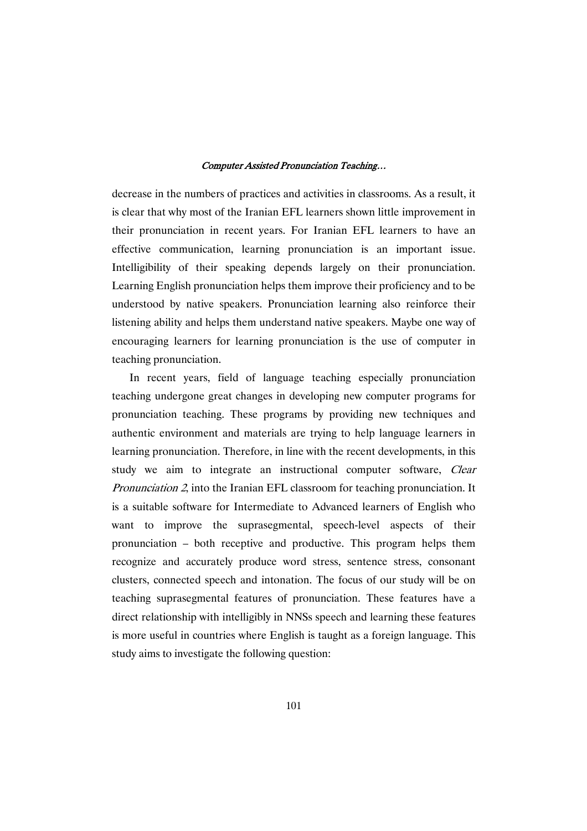decrease in the numbers of practices and activities in classrooms. As a result, it is clear that why most of the Iranian EFL learners shown little improvement in their pronunciation in recent years. For Iranian EFL learners to have an effective communication, learning pronunciation is an important issue. Intelligibility of their speaking depends largely on their pronunciation. Learning English pronunciation helps them improve their proficiency and to be understood by native speakers. Pronunciation learning also reinforce their listening ability and helps them understand native speakers. Maybe one way of encouraging learners for learning pronunciation is the use of computer in teaching pronunciation.

In recent years, field of language teaching especially pronunciation teaching undergone great changes in developing new computer programs for pronunciation teaching. These programs by providing new techniques and authentic environment and materials are trying to help language learners in learning pronunciation. Therefore, in line with the recent developments, in this study we aim to integrate an instructional computer software, *Clear* Pronunciation <sup>2</sup>, into the Iranian EFL classroom for teaching pronunciation. It is a suitable software for Intermediate to Advanced learners of English who want to improve the suprasegmental, speech-level aspects of their pronunciation – both receptive and productive. This program helps them recognize and accurately produce word stress, sentence stress, consonant clusters, connected speech and intonation. The focus of our study will be on teaching suprasegmental features of pronunciation. These features have a direct relationship with intelligibly in NNSs speech and learning these features is more useful in countries where English is taught as a foreign language. This study aims to investigate the following question: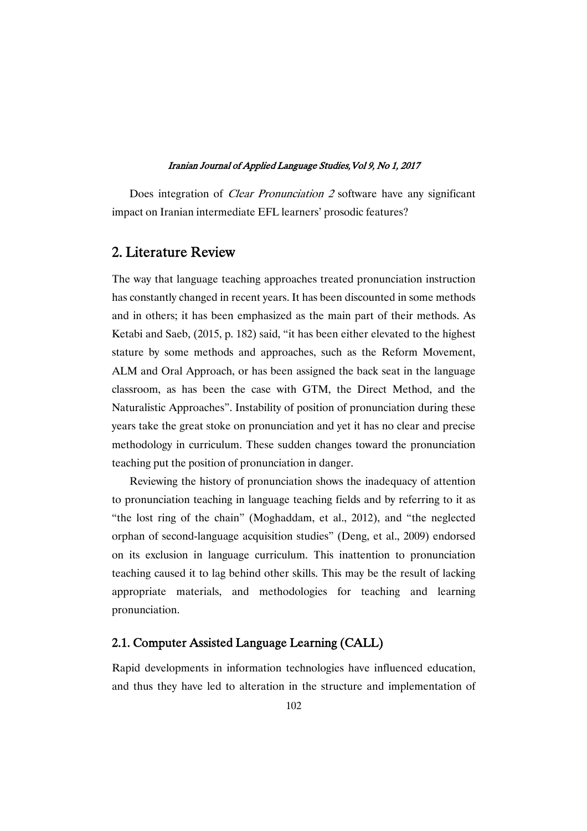Does integration of *Clear Pronunciation 2* software have any significant impact on Iranian intermediate EFL learners' prosodic features?

## 2. Literature Review

The way that language teaching approaches treated pronunciation instruction has constantly changed in recent years. It has been discounted in some methods and in others; it has been emphasized as the main part of their methods. As Ketabi and Saeb, (2015, p. 182) said, "it has been either elevated to the highest stature by some methods and approaches, such as the Reform Movement, ALM and Oral Approach, or has been assigned the back seat in the language classroom, as has been the case with GTM, the Direct Method, and the Naturalistic Approaches". Instability of position of pronunciation during these years take the great stoke on pronunciation and yet it has no clear and precise methodology in curriculum. These sudden changes toward the pronunciation teaching put the position of pronunciation in danger.

Reviewing the history of pronunciation shows the inadequacy of attention to pronunciation teaching in language teaching fields and by referring to it as "the lost ring of the chain" (Moghaddam, et al., 2012), and "the neglected orphan of second-language acquisition studies" (Deng, et al., 2009) endorsed on its exclusion in language curriculum. This inattention to pronunciation teaching caused it to lag behind other skills. This may be the result of lacking appropriate materials, and methodologies for teaching and learning pronunciation.

## 2.1. Computer Assisted Language Learning (CALL)

Rapid developments in information technologies have influenced education, and thus they have led to alteration in the structure and implementation of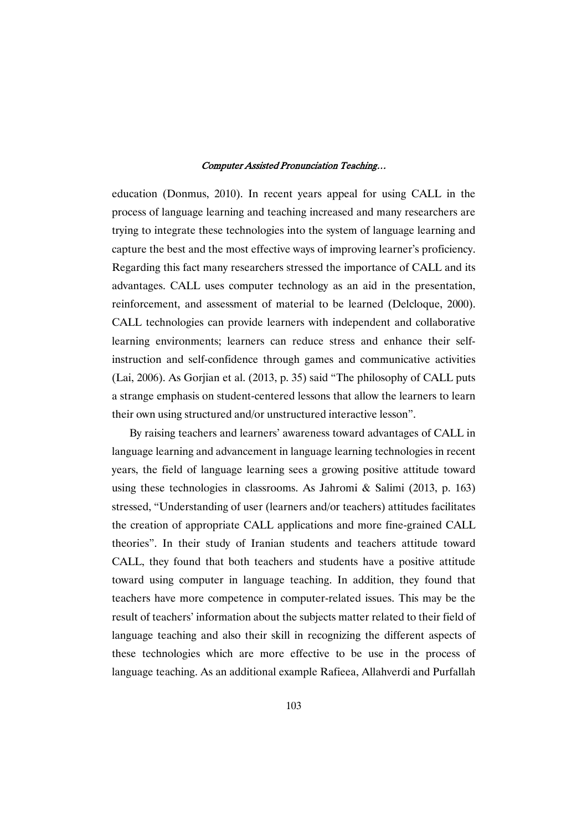education (Donmus, 2010). In recent years appeal for using CALL in the process of language learning and teaching increased and many researchers are trying to integrate these technologies into the system of language learning and capture the best and the most effective ways of improving learner's proficiency. Regarding this fact many researchers stressed the importance of CALL and its advantages. CALL uses computer technology as an aid in the presentation, reinforcement, and assessment of material to be learned (Delcloque, 2000). CALL technologies can provide learners with independent and collaborative learning environments; learners can reduce stress and enhance their selfinstruction and self-confidence through games and communicative activities (Lai, 2006). As Gorjian et al. (2013, p. 35) said "The philosophy of CALL puts a strange emphasis on student-centered lessons that allow the learners to learn their own using structured and/or unstructured interactive lesson".

By raising teachers and learners' awareness toward advantages of CALL in language learning and advancement in language learning technologies in recent years, the field of language learning sees a growing positive attitude toward using these technologies in classrooms. As Jahromi & Salimi (2013, p. 163) stressed, "Understanding of user (learners and/or teachers) attitudes facilitates the creation of appropriate CALL applications and more fine-grained CALL theories". In their study of Iranian students and teachers attitude toward CALL, they found that both teachers and students have a positive attitude toward using computer in language teaching. In addition, they found that teachers have more competence in computer-related issues. This may be the result of teachers' information about the subjects matter related to their field of language teaching and also their skill in recognizing the different aspects of these technologies which are more effective to be use in the process of language teaching. As an additional example Rafieea, Allahverdi and Purfallah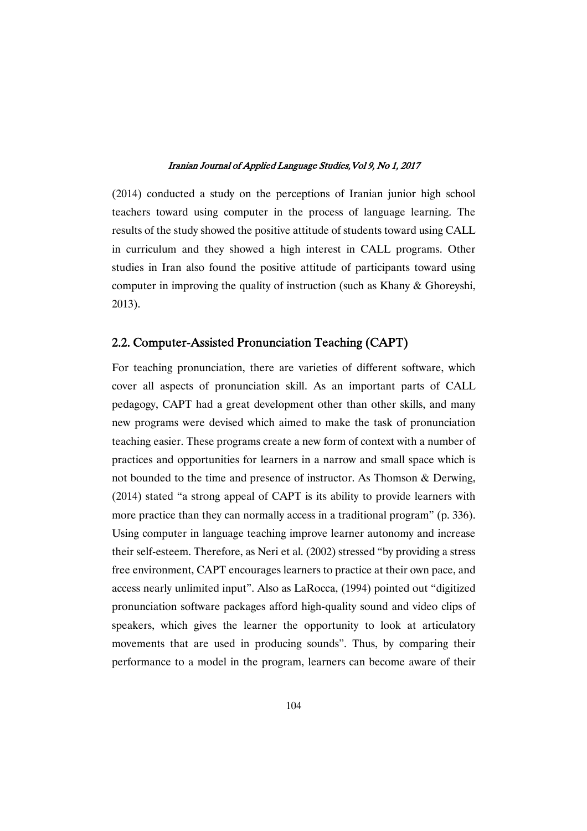(2014) conducted a study on the perceptions of Iranian junior high school teachers toward using computer in the process of language learning. The results of the study showed the positive attitude of students toward using CALL in curriculum and they showed a high interest in CALL programs. Other studies in Iran also found the positive attitude of participants toward using computer in improving the quality of instruction (such as Khany & Ghoreyshi, 2013).

## 2.2. Computer-Assisted Pronunciation Teaching (CAPT)

For teaching pronunciation, there are varieties of different software, which cover all aspects of pronunciation skill. As an important parts of CALL pedagogy, CAPT had a great development other than other skills, and many new programs were devised which aimed to make the task of pronunciation teaching easier. These programs create a new form of context with a number of practices and opportunities for learners in a narrow and small space which is not bounded to the time and presence of instructor. As Thomson & Derwing, (2014) stated "a strong appeal of CAPT is its ability to provide learners with more practice than they can normally access in a traditional program" (p. 336). Using computer in language teaching improve learner autonomy and increase their self-esteem. Therefore, as Neri et al. (2002) stressed "by providing a stress free environment, CAPT encourages learners to practice at their own pace, and access nearly unlimited input". Also as LaRocca, (1994) pointed out "digitized pronunciation software packages afford high-quality sound and video clips of speakers, which gives the learner the opportunity to look at articulatory movements that are used in producing sounds". Thus, by comparing their performance to a model in the program, learners can become aware of their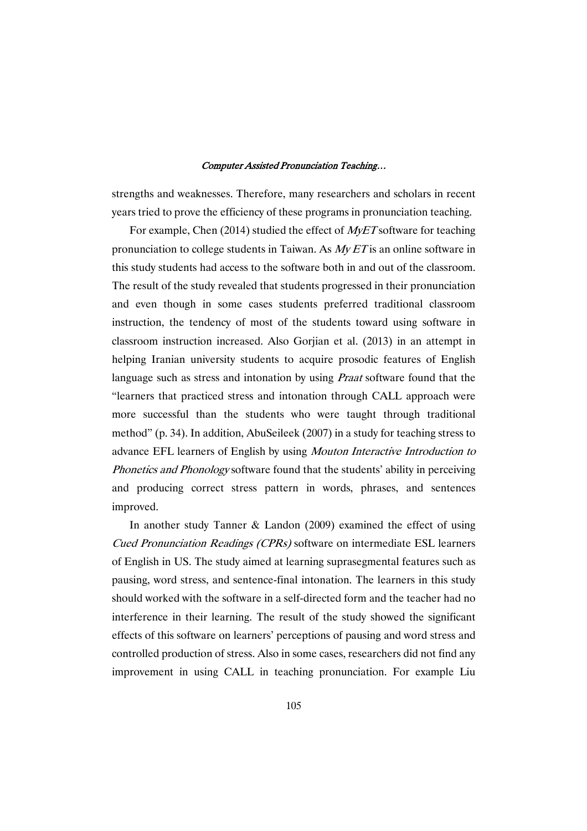strengths and weaknesses. Therefore, many researchers and scholars in recent years tried to prove the efficiency of these programs in pronunciation teaching.

For example, Chen (2014) studied the effect of *MyET* software for teaching pronunciation to college students in Taiwan. As  $MyET$  is an online software in this study students had access to the software both in and out of the classroom. The result of the study revealed that students progressed in their pronunciation and even though in some cases students preferred traditional classroom instruction, the tendency of most of the students toward using software in classroom instruction increased. Also Gorjian et al. (2013) in an attempt in helping Iranian university students to acquire prosodic features of English language such as stress and intonation by using *Praat* software found that the "learners that practiced stress and intonation through CALL approach were more successful than the students who were taught through traditional method" (p. 34). In addition, AbuSeileek (2007) in a study for teaching stress to advance EFL learners of English by using Mouton Interactive Introduction to Phonetics and Phonology software found that the students' ability in perceiving and producing correct stress pattern in words, phrases, and sentences improved.

In another study Tanner & Landon (2009) examined the effect of using Cued Pronunciation Readings (CPRs) software on intermediate ESL learners of English in US. The study aimed at learning suprasegmental features such as pausing, word stress, and sentence-final intonation. The learners in this study should worked with the software in a self-directed form and the teacher had no interference in their learning. The result of the study showed the significant effects of this software on learners' perceptions of pausing and word stress and controlled production of stress. Also in some cases, researchers did not find any improvement in using CALL in teaching pronunciation. For example Liu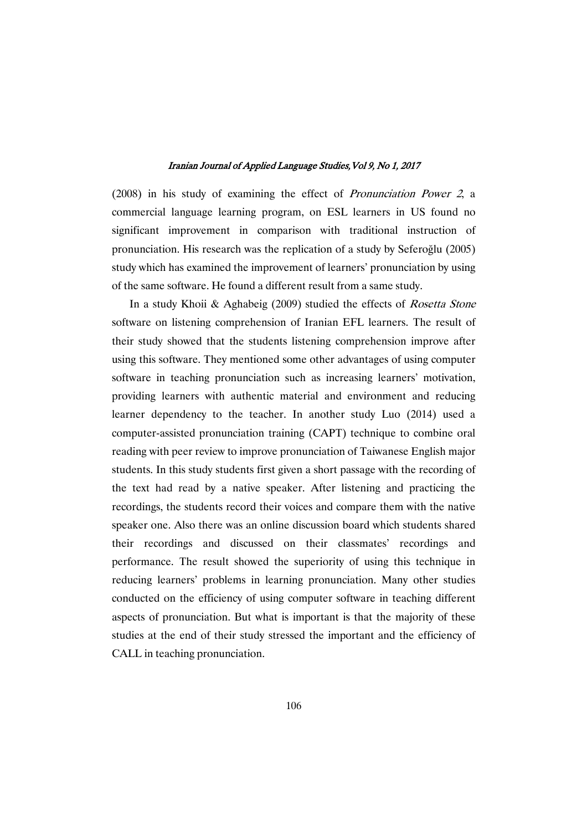(2008) in his study of examining the effect of Pronunciation Power <sup>2</sup>, a commercial language learning program, on ESL learners in US found no significant improvement in comparison with traditional instruction of pronunciation. His research was the replication of a study by Seferoğlu (2005) study which has examined the improvement of learners' pronunciation by using of the same software. He found a different result from a same study.

In a study Khoii & Aghabeig (2009) studied the effects of Rosetta Stone software on listening comprehension of Iranian EFL learners. The result of their study showed that the students listening comprehension improve after using this software. They mentioned some other advantages of using computer software in teaching pronunciation such as increasing learners' motivation, providing learners with authentic material and environment and reducing learner dependency to the teacher. In another study Luo (2014) used a computer-assisted pronunciation training (CAPT) technique to combine oral reading with peer review to improve pronunciation of Taiwanese English major students. In this study students first given a short passage with the recording of the text had read by a native speaker. After listening and practicing the recordings, the students record their voices and compare them with the native speaker one. Also there was an online discussion board which students shared their recordings and discussed on their classmates' recordings and performance. The result showed the superiority of using this technique in reducing learners' problems in learning pronunciation. Many other studies conducted on the efficiency of using computer software in teaching different aspects of pronunciation. But what is important is that the majority of these studies at the end of their study stressed the important and the efficiency of CALL in teaching pronunciation.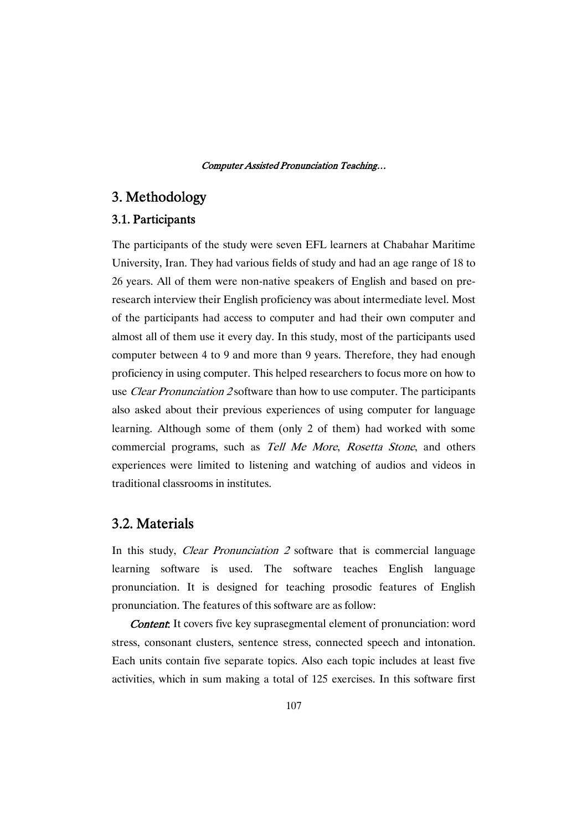## 3. Methodology

## 3.1. Participants

The participants of the study were seven EFL learners at Chabahar Maritime University, Iran. They had various fields of study and had an age range of 18 to 26 years. All of them were non-native speakers of English and based on preresearch interview their English proficiency was about intermediate level. Most of the participants had access to computer and had their own computer and almost all of them use it every day. In this study, most of the participants used computer between 4 to 9 and more than 9 years. Therefore, they had enough proficiency in using computer. This helped researchers to focus more on how to use *Clear Pronunciation 2* software than how to use computer. The participants also asked about their previous experiences of using computer for language learning. Although some of them (only 2 of them) had worked with some commercial programs, such as Tell Me More, Rosetta Stone, and others experiences were limited to listening and watching of audios and videos in traditional classrooms in institutes.

## 3.2. Materials

In this study, *Clear Pronunciation 2* software that is commercial language learning software is used. The software teaches English language pronunciation. It is designed for teaching prosodic features of English pronunciation. The features of this software are as follow:

**Content:** It covers five key suprasegmental element of pronunciation: word stress, consonant clusters, sentence stress, connected speech and intonation. Each units contain five separate topics. Also each topic includes at least five activities, which in sum making a total of 125 exercises. In this software first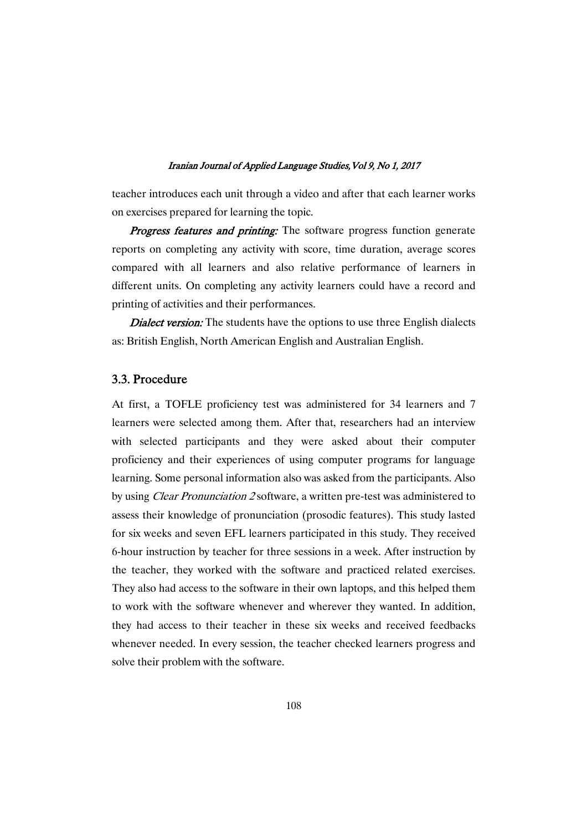teacher introduces each unit through a video and after that each learner works on exercises prepared for learning the topic.

Progress features and printing: The software progress function generate reports on completing any activity with score, time duration, average scores compared with all learners and also relative performance of learners in different units. On completing any activity learners could have a record and printing of activities and their performances. 

**Dialect version:** The students have the options to use three English dialects as: British English, North American English and Australian English.

## 3.3. Procedure

At first, a TOFLE proficiency test was administered for 34 learners and 7 learners were selected among them. After that, researchers had an interview with selected participants and they were asked about their computer proficiency and their experiences of using computer programs for language learning. Some personal information also was asked from the participants. Also by using Clear Pronunciation <sup>2</sup> software, a written pre-test was administered to assess their knowledge of pronunciation (prosodic features). This study lasted for six weeks and seven EFL learners participated in this study. They received 6-hour instruction by teacher for three sessions in a week. After instruction by the teacher, they worked with the software and practiced related exercises. They also had access to the software in their own laptops, and this helped them to work with the software whenever and wherever they wanted. In addition, they had access to their teacher in these six weeks and received feedbacks whenever needed. In every session, the teacher checked learners progress and solve their problem with the software.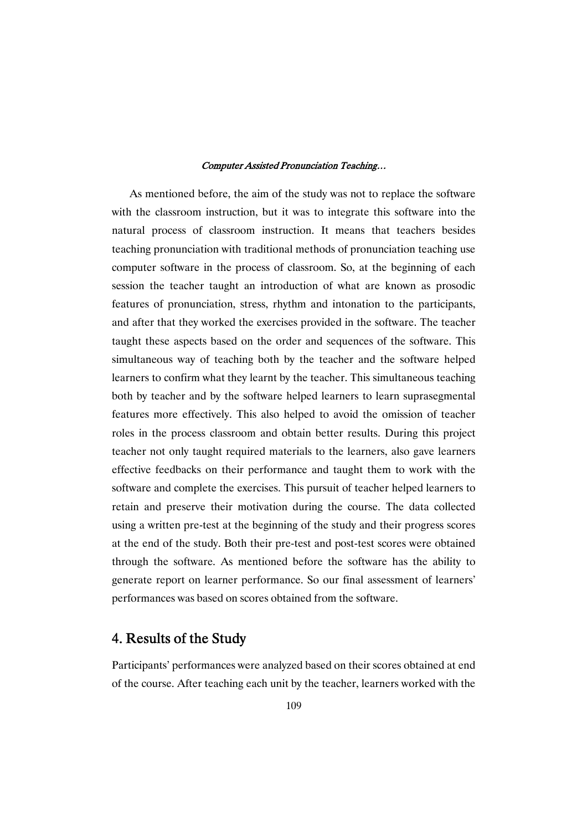As mentioned before, the aim of the study was not to replace the software with the classroom instruction, but it was to integrate this software into the natural process of classroom instruction. It means that teachers besides teaching pronunciation with traditional methods of pronunciation teaching use computer software in the process of classroom. So, at the beginning of each session the teacher taught an introduction of what are known as prosodic features of pronunciation, stress, rhythm and intonation to the participants, and after that they worked the exercises provided in the software. The teacher taught these aspects based on the order and sequences of the software. This simultaneous way of teaching both by the teacher and the software helped learners to confirm what they learnt by the teacher. This simultaneous teaching both by teacher and by the software helped learners to learn suprasegmental features more effectively. This also helped to avoid the omission of teacher roles in the process classroom and obtain better results. During this project teacher not only taught required materials to the learners, also gave learners effective feedbacks on their performance and taught them to work with the software and complete the exercises. This pursuit of teacher helped learners to retain and preserve their motivation during the course. The data collected using a written pre-test at the beginning of the study and their progress scores at the end of the study. Both their pre-test and post-test scores were obtained through the software. As mentioned before the software has the ability to generate report on learner performance. So our final assessment of learners' performances was based on scores obtained from the software.

## 4. Results of the Study

Participants' performances were analyzed based on their scores obtained at end of the course. After teaching each unit by the teacher, learners worked with the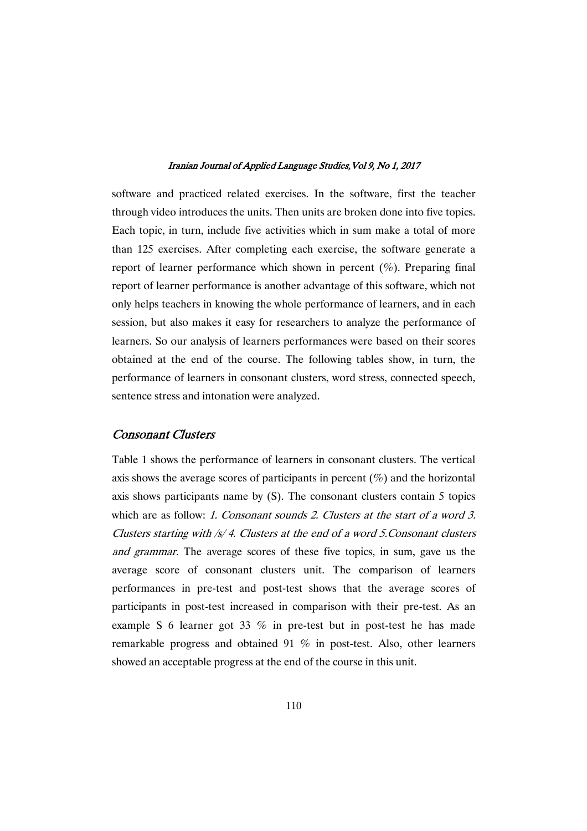software and practiced related exercises. In the software, first the teacher through video introduces the units. Then units are broken done into five topics. Each topic, in turn, include five activities which in sum make a total of more than 125 exercises. After completing each exercise, the software generate a report of learner performance which shown in percent  $(\%)$ . Preparing final report of learner performance is another advantage of this software, which not only helps teachers in knowing the whole performance of learners, and in each session, but also makes it easy for researchers to analyze the performance of learners. So our analysis of learners performances were based on their scores obtained at the end of the course. The following tables show, in turn, the performance of learners in consonant clusters, word stress, connected speech, sentence stress and intonation were analyzed.

## Consonant Clusters

Table 1 shows the performance of learners in consonant clusters. The vertical axis shows the average scores of participants in percent  $(\%)$  and the horizontal axis shows participants name by (S). The consonant clusters contain 5 topics which are as follow: 1. Consonant sounds 2. Clusters at the start of a word 3. Clusters starting with /s/ 4. Clusters at the end of <sup>a</sup> word 5.Consonant clusters and grammar. The average scores of these five topics, in sum, gave us the average score of consonant clusters unit. The comparison of learners performances in pre-test and post-test shows that the average scores of participants in post-test increased in comparison with their pre-test. As an example S 6 learner got 33 % in pre-test but in post-test he has made remarkable progress and obtained 91 % in post-test. Also, other learners showed an acceptable progress at the end of the course in this unit.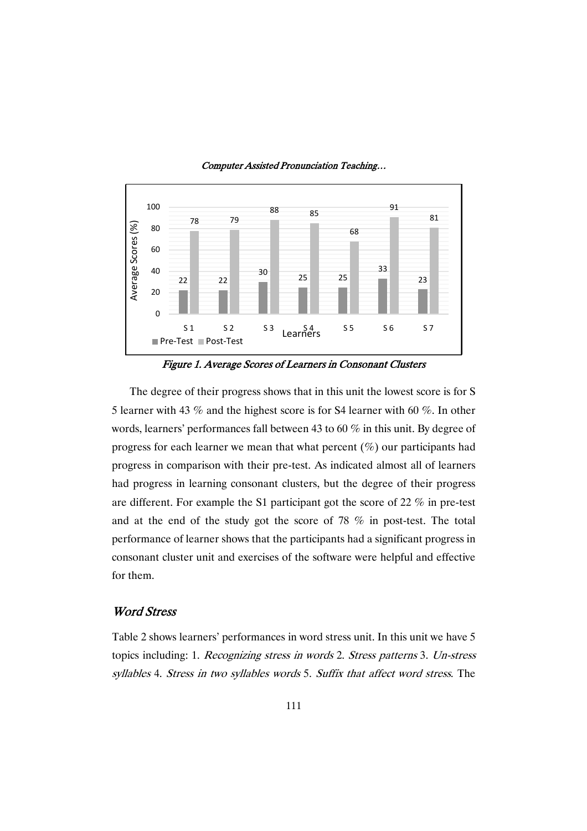

Figure 1. Average Scores of Learners in Consonant Clusters

The degree of their progress shows that in this unit the lowest score is for S 5 learner with 43 % and the highest score is for S4 learner with 60 %. In other words, learners' performances fall between 43 to 60 % in this unit. By degree of progress for each learner we mean that what percent (%) our participants had progress in comparison with their pre-test. As indicated almost all of learners had progress in learning consonant clusters, but the degree of their progress are different. For example the S1 participant got the score of 22 % in pre-test and at the end of the study got the score of 78 % in post-test. The total performance of learner shows that the participants had a significant progress in consonant cluster unit and exercises of the software were helpful and effective for them.

## Word Stress

Table 2 shows learners' performances in word stress unit. In this unit we have 5 topics including: 1. Recognizing stress in words 2. Stress patterns 3. Un-stress syllables 4. Stress in two syllables words 5. Suffix that affect word stress. The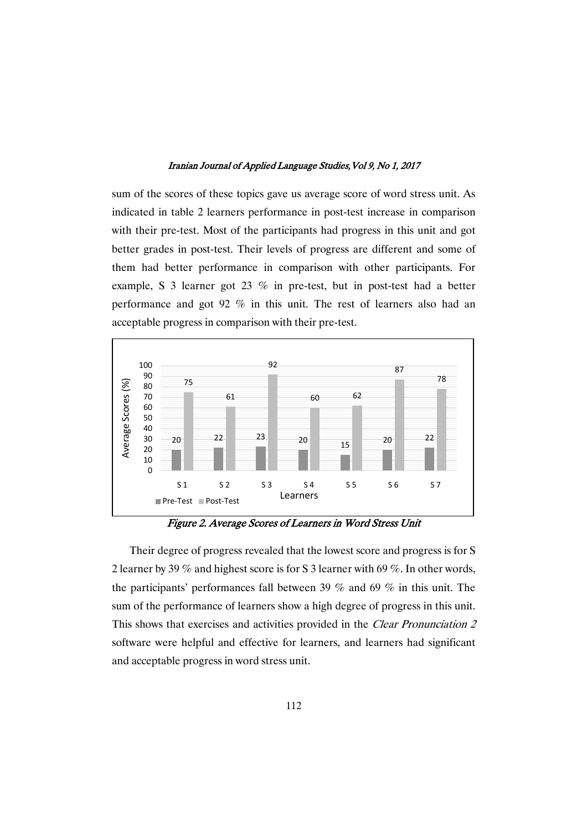sum of the scores of these topics gave us average score of word stress unit. As indicated in table 2 learners performance in post-test increase in comparison with their pre-test. Most of the participants had progress in this unit and got better grades in post-test. Their levels of progress are different and some of them had better performance in comparison with other participants. For example, S 3 learner got 23 % in pre-test, but in post-test had a better performance and got 92 % in this unit. The rest of learners also had an acceptable progress in comparison with their pre-test.



Figure 2. Average Scores of Learners in Word Stress Unit

Their degree of progress revealed that the lowest score and progress is for S 2 learner by 39 % and highest score is for S 3 learner with 69 %. In other words, the participants' performances fall between 39 % and 69 % in this unit. The sum of the performance of learners show a high degree of progress in this unit. This shows that exercises and activities provided in the Clear Pronunciation <sup>2</sup> software were helpful and effective for learners, and learners had significant and acceptable progress in word stress unit.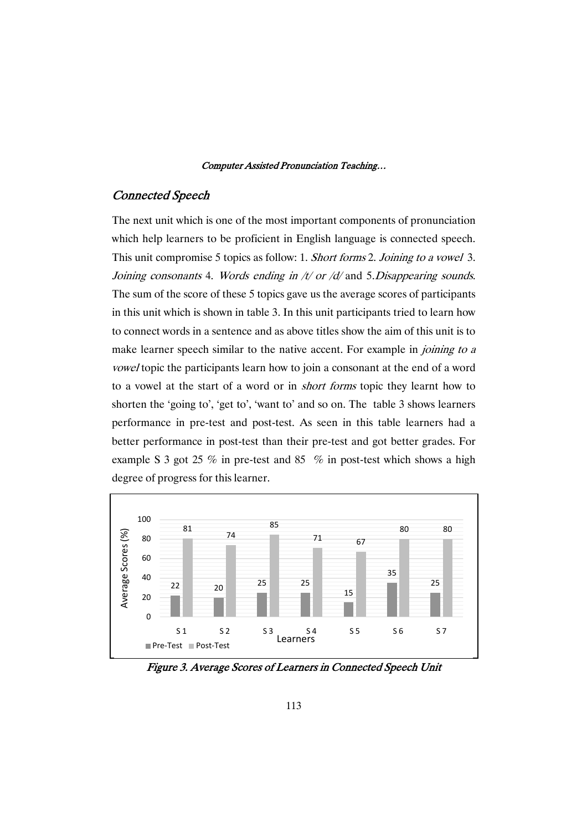## Connected Speech

The next unit which is one of the most important components of pronunciation which help learners to be proficient in English language is connected speech. This unit compromise 5 topics as follow: 1. Short forms 2. Joining to a vowel 3. Joining consonants 4. Words ending in  $/t$  or  $/d$  and 5. Disappearing sounds. The sum of the score of these 5 topics gave us the average scores of participants in this unit which is shown in table 3. In this unit participants tried to learn how to connect words in a sentence and as above titles show the aim of this unit is to make learner speech similar to the native accent. For example in *joining to a* vowel topic the participants learn how to join a consonant at the end of a word to a vowel at the start of a word or in short forms topic they learnt how to shorten the 'going to', 'get to', 'want to' and so on. The table 3 shows learners performance in pre-test and post-test. As seen in this table learners had a better performance in post-test than their pre-test and got better grades. For example S 3 got 25 % in pre-test and 85 % in post-test which shows a high degree of progress for this learner.



Figure 3. Average Scores of Learners in Connected Speech Unit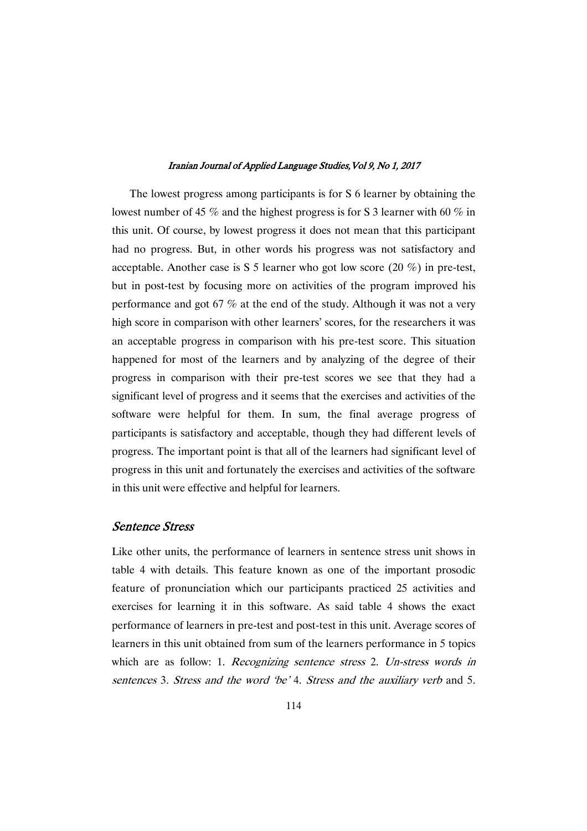The lowest progress among participants is for S 6 learner by obtaining the lowest number of 45 % and the highest progress is for S 3 learner with 60 % in this unit. Of course, by lowest progress it does not mean that this participant had no progress. But, in other words his progress was not satisfactory and acceptable. Another case is S 5 learner who got low score (20 %) in pre-test, but in post-test by focusing more on activities of the program improved his performance and got 67 % at the end of the study. Although it was not a very high score in comparison with other learners' scores, for the researchers it was an acceptable progress in comparison with his pre-test score. This situation happened for most of the learners and by analyzing of the degree of their progress in comparison with their pre-test scores we see that they had a significant level of progress and it seems that the exercises and activities of the software were helpful for them. In sum, the final average progress of participants is satisfactory and acceptable, though they had different levels of progress. The important point is that all of the learners had significant level of progress in this unit and fortunately the exercises and activities of the software in this unit were effective and helpful for learners.

## Sentence Stress

Like other units, the performance of learners in sentence stress unit shows in table 4 with details. This feature known as one of the important prosodic feature of pronunciation which our participants practiced 25 activities and exercises for learning it in this software. As said table 4 shows the exact performance of learners in pre-test and post-test in this unit. Average scores of learners in this unit obtained from sum of the learners performance in 5 topics which are as follow: 1. Recognizing sentence stress 2. Un-stress words in sentences 3. Stress and the word 'be' 4. Stress and the auxiliary verb and 5.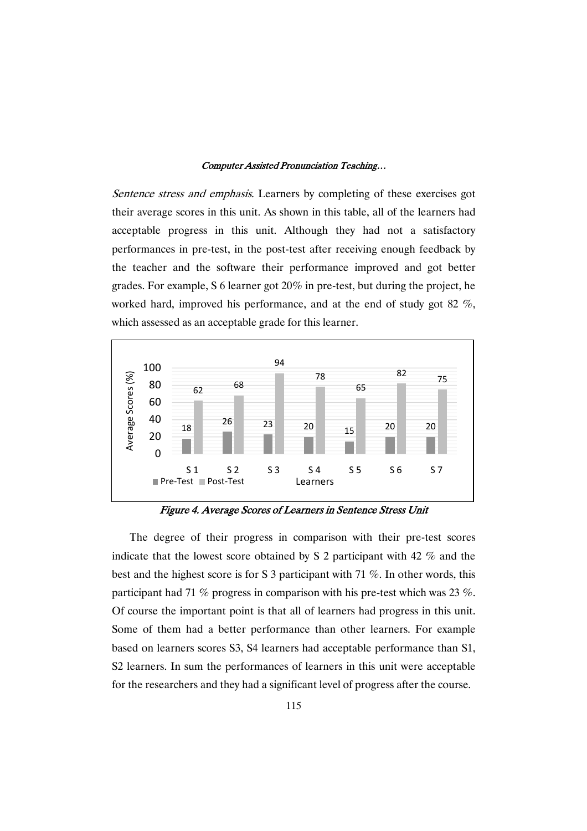Sentence stress and emphasis. Learners by completing of these exercises got their average scores in this unit. As shown in this table, all of the learners had acceptable progress in this unit. Although they had not a satisfactory performances in pre-test, in the post-test after receiving enough feedback by the teacher and the software their performance improved and got better grades. For example, S 6 learner got 20% in pre-test, but during the project, he worked hard, improved his performance, and at the end of study got 82 %, which assessed as an acceptable grade for this learner.



Figure 4. Average Scores of Learners in Sentence Stress Unit

The degree of their progress in comparison with their pre-test scores indicate that the lowest score obtained by S 2 participant with 42 % and the best and the highest score is for S 3 participant with 71 %. In other words, this participant had 71  $\%$  progress in comparison with his pre-test which was 23  $\%$ . Of course the important point is that all of learners had progress in this unit. Some of them had a better performance than other learners. For example based on learners scores S3, S4 learners had acceptable performance than S1, S2 learners. In sum the performances of learners in this unit were acceptable for the researchers and they had a significant level of progress after the course.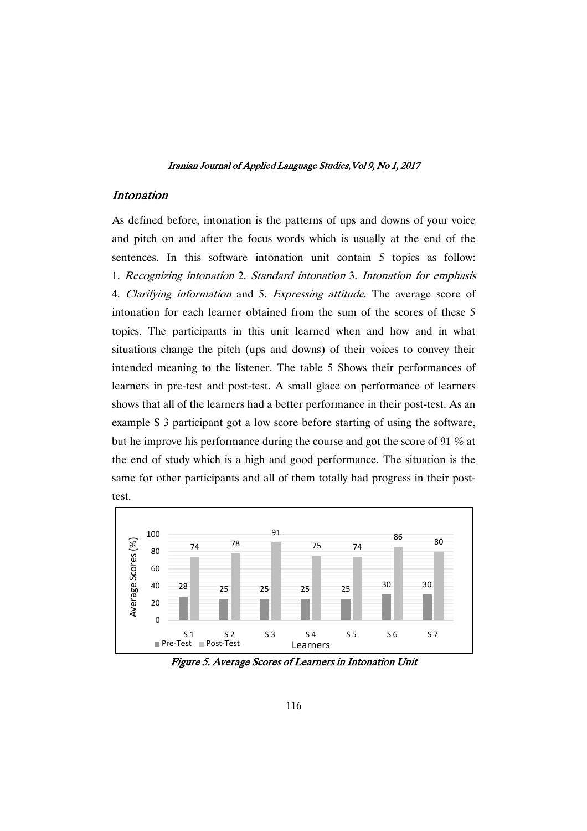## Intonation

As defined before, intonation is the patterns of ups and downs of your voice and pitch on and after the focus words which is usually at the end of the sentences. In this software intonation unit contain 5 topics as follow: 1. Recognizing intonation 2. Standard intonation 3. Intonation for emphasis 4. Clarifying information and 5. Expressing attitude. The average score of intonation for each learner obtained from the sum of the scores of these 5 topics. The participants in this unit learned when and how and in what situations change the pitch (ups and downs) of their voices to convey their intended meaning to the listener. The table 5 Shows their performances of learners in pre-test and post-test. A small glace on performance of learners shows that all of the learners had a better performance in their post-test. As an example S 3 participant got a low score before starting of using the software, but he improve his performance during the course and got the score of 91 % at the end of study which is a high and good performance. The situation is the same for other participants and all of them totally had progress in their posttest.



Figure 5. Average Scores of Learners in Intonation Unit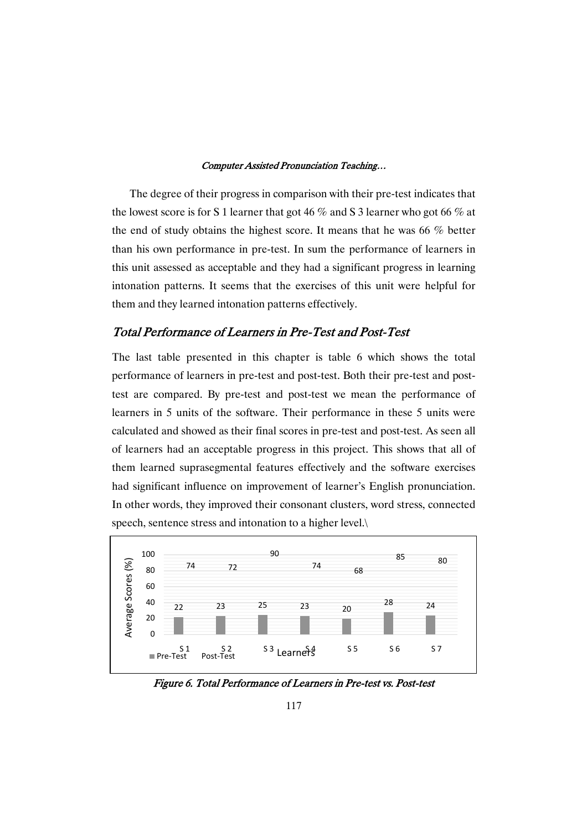The degree of their progress in comparison with their pre-test indicates that the lowest score is for S 1 learner that got 46  $\%$  and S 3 learner who got 66  $\%$  at the end of study obtains the highest score. It means that he was 66 % better than his own performance in pre-test. In sum the performance of learners in this unit assessed as acceptable and they had a significant progress in learning intonation patterns. It seems that the exercises of this unit were helpful for them and they learned intonation patterns effectively.

## Total Performance of Learners in Pre-Test and Post-Test

The last table presented in this chapter is table 6 which shows the total performance of learners in pre-test and post-test. Both their pre-test and posttest are compared. By pre-test and post-test we mean the performance of learners in 5 units of the software. Their performance in these 5 units were calculated and showed as their final scores in pre-test and post-test. As seen all of learners had an acceptable progress in this project. This shows that all of them learned suprasegmental features effectively and the software exercises had significant influence on improvement of learner's English pronunciation. In other words, they improved their consonant clusters, word stress, connected speech, sentence stress and intonation to a higher level.\



Figure 6. Total Performance of Learners in Pre-test vs. Post-test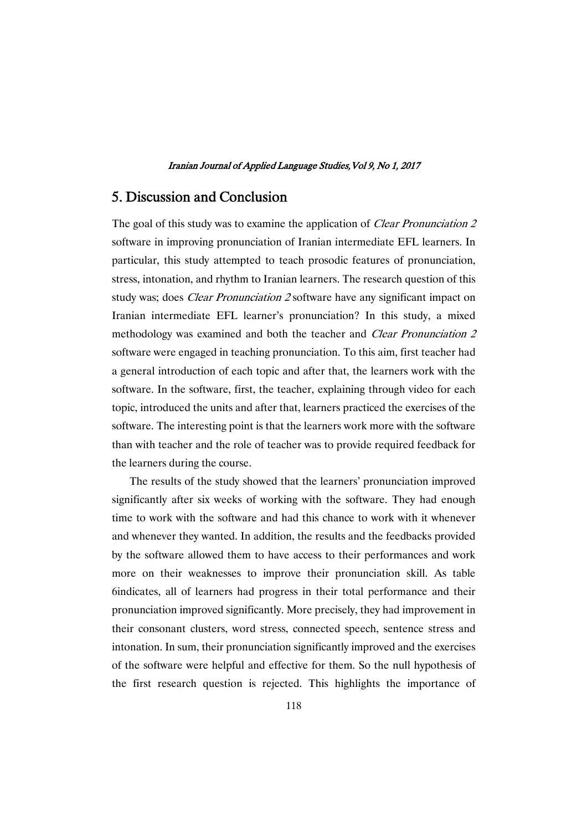## 5. Discussion and Conclusion

The goal of this study was to examine the application of *Clear Pronunciation 2* software in improving pronunciation of Iranian intermediate EFL learners. In particular, this study attempted to teach prosodic features of pronunciation, stress, intonation, and rhythm to Iranian learners. The research question of this study was; does *Clear Pronunciation 2* software have any significant impact on Iranian intermediate EFL learner's pronunciation? In this study, a mixed methodology was examined and both the teacher and *Clear Pronunciation 2* software were engaged in teaching pronunciation. To this aim, first teacher had a general introduction of each topic and after that, the learners work with the software. In the software, first, the teacher, explaining through video for each topic, introduced the units and after that, learners practiced the exercises of the software. The interesting point is that the learners work more with the software than with teacher and the role of teacher was to provide required feedback for the learners during the course.

The results of the study showed that the learners' pronunciation improved significantly after six weeks of working with the software. They had enough time to work with the software and had this chance to work with it whenever and whenever they wanted. In addition, the results and the feedbacks provided by the software allowed them to have access to their performances and work more on their weaknesses to improve their pronunciation skill. As table 6indicates, all of learners had progress in their total performance and their pronunciation improved significantly. More precisely, they had improvement in their consonant clusters, word stress, connected speech, sentence stress and intonation. In sum, their pronunciation significantly improved and the exercises of the software were helpful and effective for them. So the null hypothesis of the first research question is rejected. This highlights the importance of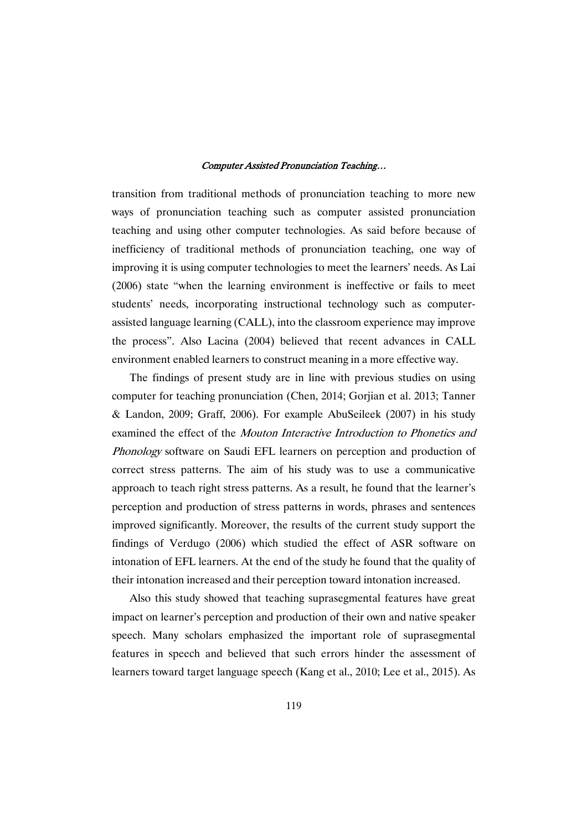transition from traditional methods of pronunciation teaching to more new ways of pronunciation teaching such as computer assisted pronunciation teaching and using other computer technologies. As said before because of inefficiency of traditional methods of pronunciation teaching, one way of improving it is using computer technologies to meet the learners' needs. As Lai (2006) state "when the learning environment is ineffective or fails to meet students' needs, incorporating instructional technology such as computerassisted language learning (CALL), into the classroom experience may improve the process". Also Lacina (2004) believed that recent advances in CALL environment enabled learners to construct meaning in a more effective way.

The findings of present study are in line with previous studies on using computer for teaching pronunciation (Chen, 2014; Gorjian et al. 2013; Tanner & Landon, 2009; Graff, 2006). For example AbuSeileek (2007) in his study examined the effect of the Mouton Interactive Introduction to Phonetics and Phonology software on Saudi EFL learners on perception and production of correct stress patterns. The aim of his study was to use a communicative approach to teach right stress patterns. As a result, he found that the learner's perception and production of stress patterns in words, phrases and sentences improved significantly. Moreover, the results of the current study support the findings of Verdugo (2006) which studied the effect of ASR software on intonation of EFL learners. At the end of the study he found that the quality of their intonation increased and their perception toward intonation increased.

Also this study showed that teaching suprasegmental features have great impact on learner's perception and production of their own and native speaker speech. Many scholars emphasized the important role of suprasegmental features in speech and believed that such errors hinder the assessment of learners toward target language speech (Kang et al., 2010; Lee et al., 2015). As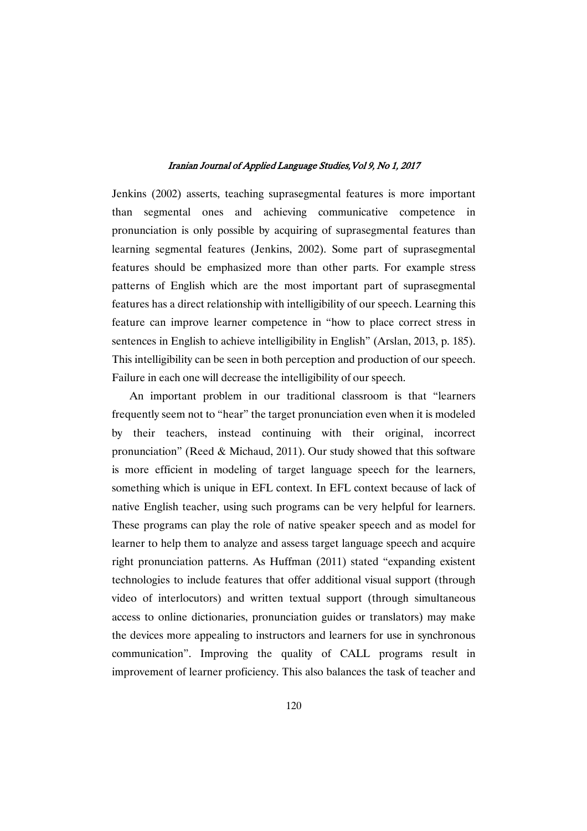Jenkins (2002) asserts, teaching suprasegmental features is more important than segmental ones and achieving communicative competence in pronunciation is only possible by acquiring of suprasegmental features than learning segmental features (Jenkins, 2002). Some part of suprasegmental features should be emphasized more than other parts. For example stress patterns of English which are the most important part of suprasegmental features has a direct relationship with intelligibility of our speech. Learning this feature can improve learner competence in "how to place correct stress in sentences in English to achieve intelligibility in English" (Arslan, 2013, p. 185). This intelligibility can be seen in both perception and production of our speech. Failure in each one will decrease the intelligibility of our speech.

An important problem in our traditional classroom is that "learners frequently seem not to "hear" the target pronunciation even when it is modeled by their teachers, instead continuing with their original, incorrect pronunciation" (Reed & Michaud, 2011). Our study showed that this software is more efficient in modeling of target language speech for the learners, something which is unique in EFL context. In EFL context because of lack of native English teacher, using such programs can be very helpful for learners. These programs can play the role of native speaker speech and as model for learner to help them to analyze and assess target language speech and acquire right pronunciation patterns. As Huffman (2011) stated "expanding existent technologies to include features that offer additional visual support (through video of interlocutors) and written textual support (through simultaneous access to online dictionaries, pronunciation guides or translators) may make the devices more appealing to instructors and learners for use in synchronous communication". Improving the quality of CALL programs result in improvement of learner proficiency. This also balances the task of teacher and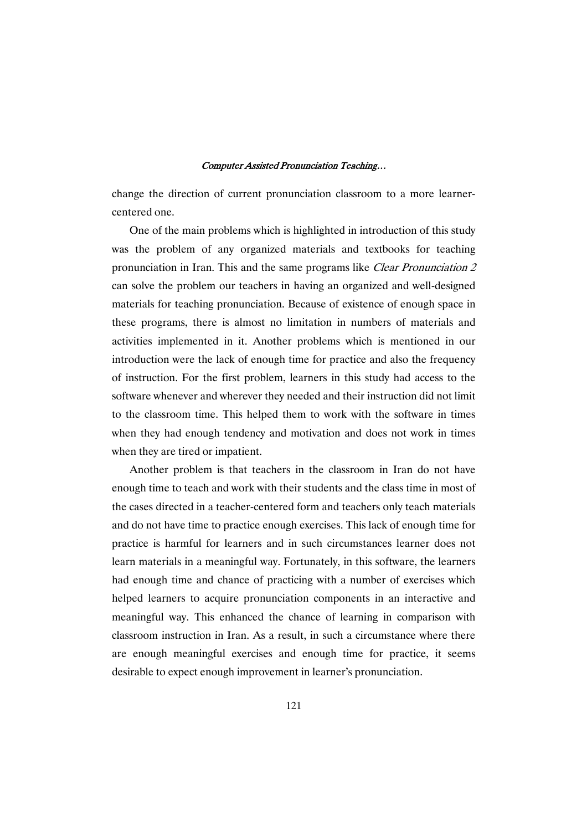change the direction of current pronunciation classroom to a more learnercentered one.

One of the main problems which is highlighted in introduction of this study was the problem of any organized materials and textbooks for teaching pronunciation in Iran. This and the same programs like Clear Pronunciation <sup>2</sup> can solve the problem our teachers in having an organized and well-designed materials for teaching pronunciation. Because of existence of enough space in these programs, there is almost no limitation in numbers of materials and activities implemented in it. Another problems which is mentioned in our introduction were the lack of enough time for practice and also the frequency of instruction. For the first problem, learners in this study had access to the software whenever and wherever they needed and their instruction did not limit to the classroom time. This helped them to work with the software in times when they had enough tendency and motivation and does not work in times when they are tired or impatient.

Another problem is that teachers in the classroom in Iran do not have enough time to teach and work with their students and the class time in most of the cases directed in a teacher-centered form and teachers only teach materials and do not have time to practice enough exercises. This lack of enough time for practice is harmful for learners and in such circumstances learner does not learn materials in a meaningful way. Fortunately, in this software, the learners had enough time and chance of practicing with a number of exercises which helped learners to acquire pronunciation components in an interactive and meaningful way. This enhanced the chance of learning in comparison with classroom instruction in Iran. As a result, in such a circumstance where there are enough meaningful exercises and enough time for practice, it seems desirable to expect enough improvement in learner's pronunciation.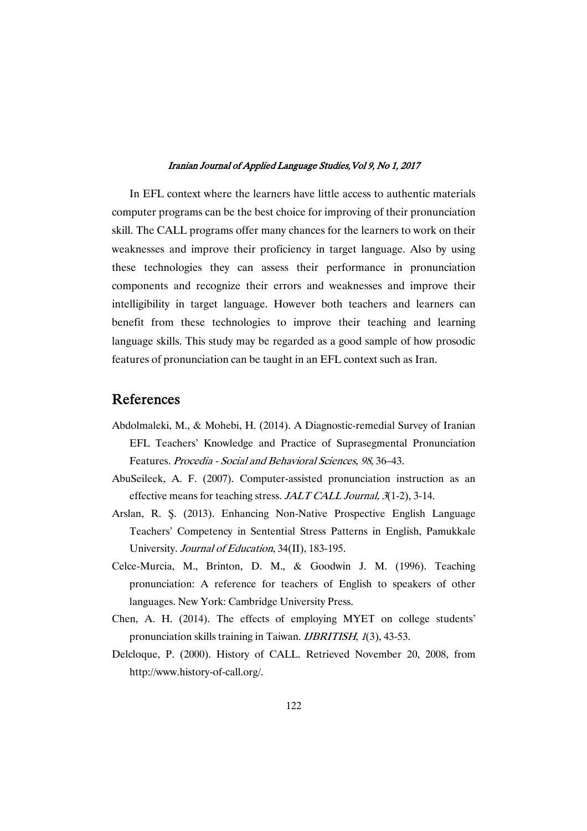In EFL context where the learners have little access to authentic materials computer programs can be the best choice for improving of their pronunciation skill. The CALL programs offer many chances for the learners to work on their weaknesses and improve their proficiency in target language. Also by using these technologies they can assess their performance in pronunciation components and recognize their errors and weaknesses and improve their intelligibility in target language. However both teachers and learners can benefit from these technologies to improve their teaching and learning language skills. This study may be regarded as a good sample of how prosodic features of pronunciation can be taught in an EFL context such as Iran.

## References

- Abdolmaleki, M., & Mohebi, H. (2014). A Diagnostic-remedial Survey of Iranian EFL Teachers' Knowledge and Practice of Suprasegmental Pronunciation Features. Procedia - Social and Behavioral Sciences, <sup>98</sup>, 36–43.
- AbuSeileek, A. F. (2007). Computer-assisted pronunciation instruction as an effective means for teaching stress. JALT CALL Journal, 3(1-2), 3-14.
- Arslan, R. S. (2013). Enhancing Non-Native Prospective English Language Teachers' Competency in Sentential Stress Patterns in English, Pamukkale University. Journal of Education, 34(II), 183-195.
- Celce-Murcia, M., Brinton, D. M., & Goodwin J. M. (1996). Teaching pronunciation: A reference for teachers of English to speakers of other languages. New York: Cambridge University Press.
- Chen, A. H. (2014). The effects of employing MYET on college students' pronunciation skills training in Taiwan. IJBRITISH, <sup>1</sup>(3), 43-53.
- Delcloque, P. (2000). History of CALL. Retrieved November 20, 2008, from http://www.history-of-call.org/.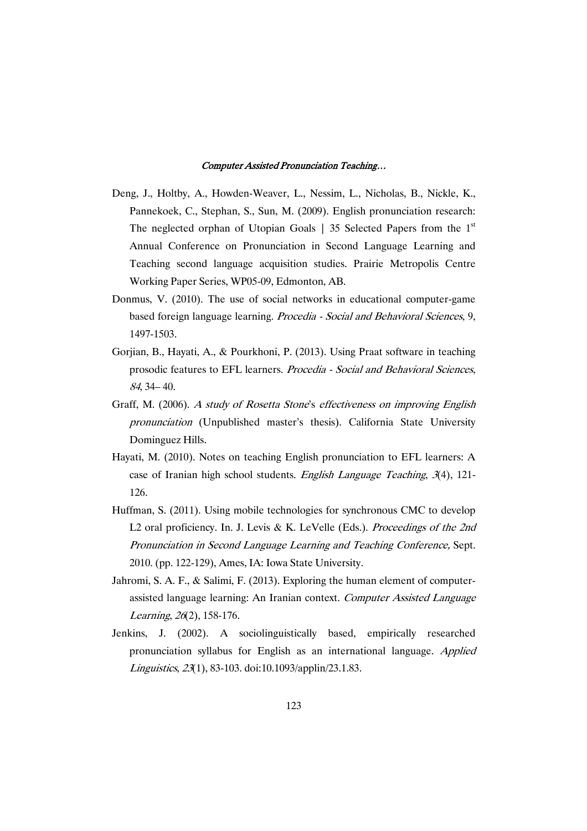- Deng, J., Holtby, A., Howden-Weaver, L., Nessim, L., Nicholas, B., Nickle, K., Pannekoek, C., Stephan, S., Sun, M. (2009). English pronunciation research: The neglected orphan of Utopian Goals  $\vert$  35 Selected Papers from the 1<sup>st</sup> Annual Conference on Pronunciation in Second Language Learning and Teaching second language acquisition studies. Prairie Metropolis Centre Working Paper Series, WP05-09, Edmonton, AB.
- Donmus, V. (2010). The use of social networks in educational computer-game based foreign language learning. Procedia - Social and Behavioral Sciences, 9, 1497-1503.
- Gorjian, B., Hayati, A., & Pourkhoni, P. (2013). Using Praat software in teaching prosodic features to EFL learners. Procedia - Social and Behavioral Sciences, <sup>84</sup>, 34– 40.
- Graff, M. (2006). <sup>A</sup> study of Rosetta Stone's effectiveness on improving English pronunciation (Unpublished master's thesis). California State University Dominguez Hills.
- Hayati, M. (2010). Notes on teaching English pronunciation to EFL learners: A case of Iranian high school students. English Language Teaching, 3(4), 121-126.
- Huffman, S. (2011). Using mobile technologies for synchronous CMC to develop L2 oral proficiency. In. J. Levis & K. LeVelle (Eds.). Proceedings of the 2nd Pronunciation in Second Language Learning and Teaching Conference, Sept. 2010. (pp. 122-129), Ames, IA: Iowa State University.
- Jahromi, S. A. F., & Salimi, F. (2013). Exploring the human element of computerassisted language learning: An Iranian context. Computer Assisted Language Learning, <sup>26</sup>(2), 158-176.
- Jenkins, J. (2002). A sociolinguistically based, empirically researched pronunciation syllabus for English as an international language. Applied Linguistics, <sup>23</sup>(1), 83-103. doi:10.1093/applin/23.1.83.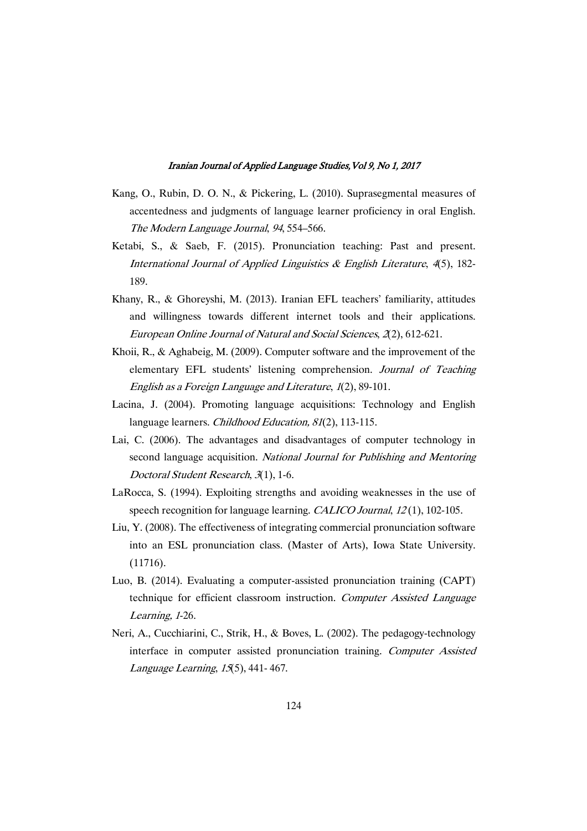- Kang, O., Rubin, D. O. N., & Pickering, L. (2010). Suprasegmental measures of accentedness and judgments of language learner proficiency in oral English. The Modern Language Journal, <sup>94</sup>, 554–566.
- Ketabi, S., & Saeb, F. (2015). Pronunciation teaching: Past and present. International Journal of Applied Linguistics  $\&$  English Literature, 4(5), 182-189.
- Khany, R., & Ghoreyshi, M. (2013). Iranian EFL teachers' familiarity, attitudes and willingness towards different internet tools and their applications. European Online Journal of Natural and Social Sciences, <sup>2</sup>(2), 612-621.
- Khoii, R., & Aghabeig, M. (2009). Computer software and the improvement of the elementary EFL students' listening comprehension. Journal of Teaching English as <sup>a</sup> Foreign Language and Literature, <sup>1</sup>(2), 89-101.
- Lacina, J. (2004). Promoting language acquisitions: Technology and English language learners. *Childhood Education*, 81(2), 113-115.
- Lai, C. (2006). The advantages and disadvantages of computer technology in second language acquisition. National Journal for Publishing and Mentoring Doctoral Student Research, <sup>3</sup>(1), 1-6.
- LaRocca, S. (1994). Exploiting strengths and avoiding weaknesses in the use of speech recognition for language learning. CALICO Journal, 12(1), 102-105.
- Liu, Y. (2008). The effectiveness of integrating commercial pronunciation software into an ESL pronunciation class. (Master of Arts), Iowa State University. (11716).
- Luo, B. (2014). Evaluating a computer-assisted pronunciation training (CAPT) technique for efficient classroom instruction. Computer Assisted Language Learning, <sup>1</sup>-26.
- Neri, A., Cucchiarini, C., Strik, H., & Boves, L. (2002). The pedagogy-technology interface in computer assisted pronunciation training. Computer Assisted Language Learning, <sup>15</sup>(5), 441- 467.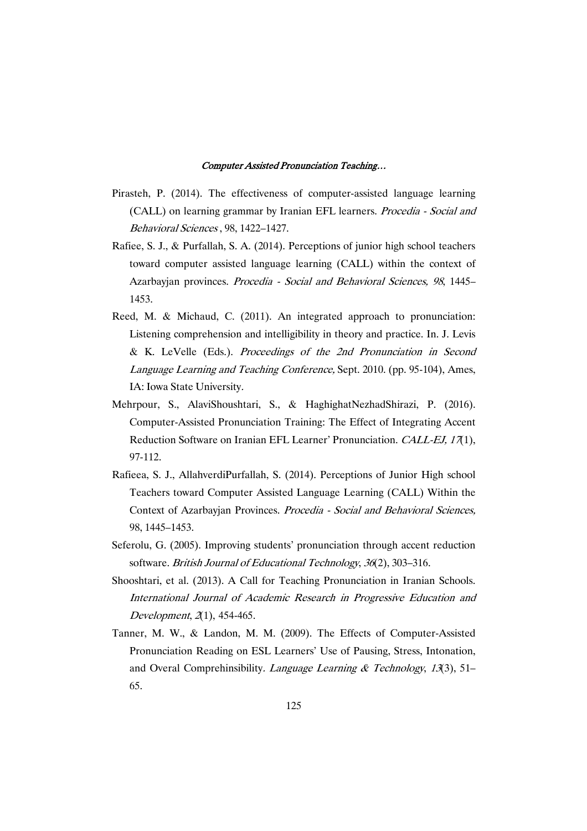- Pirasteh, P. (2014). The effectiveness of computer-assisted language learning (CALL) on learning grammar by Iranian EFL learners. Procedia - Social and Behavioral Sciences , 98, 1422–1427.
- Rafiee, S. J., & Purfallah, S. A. (2014). Perceptions of junior high school teachers toward computer assisted language learning (CALL) within the context of Azarbayjan provinces. Procedia - Social and Behavioral Sciences, <sup>98</sup>, 1445– 1453.
- Reed, M. & Michaud, C. (2011). An integrated approach to pronunciation: Listening comprehension and intelligibility in theory and practice. In. J. Levis & K. LeVelle (Eds.). Proceedings of the 2nd Pronunciation in Second Language Learning and Teaching Conference, Sept. 2010. (pp. 95-104), Ames, IA: Iowa State University.
- Mehrpour, S., AlaviShoushtari, S., & HaghighatNezhadShirazi, P. (2016). Computer-Assisted Pronunciation Training: The Effect of Integrating Accent Reduction Software on Iranian EFL Learner' Pronunciation. CALL-EJ, 17(1), 97-112.
- Rafieea, S. J., AllahverdiPurfallah, S. (2014). Perceptions of Junior High school Teachers toward Computer Assisted Language Learning (CALL) Within the Context of Azarbayjan Provinces. Procedia - Social and Behavioral Sciences, 98, 1445–1453.
- Seferolu, G. (2005). Improving students' pronunciation through accent reduction software. British Journal of Educational Technology, 36(2), 303-316.
- Shooshtari, et al. (2013). A Call for Teaching Pronunciation in Iranian Schools. International Journal of Academic Research in Progressive Education and Development, 2(1), 454-465.
- Tanner, M. W., & Landon, M. M. (2009). The Effects of Computer-Assisted Pronunciation Reading on ESL Learners' Use of Pausing, Stress, Intonation, and Overal Comprehinsibility. Language Learning & Technology, 13(3), 51– 65.